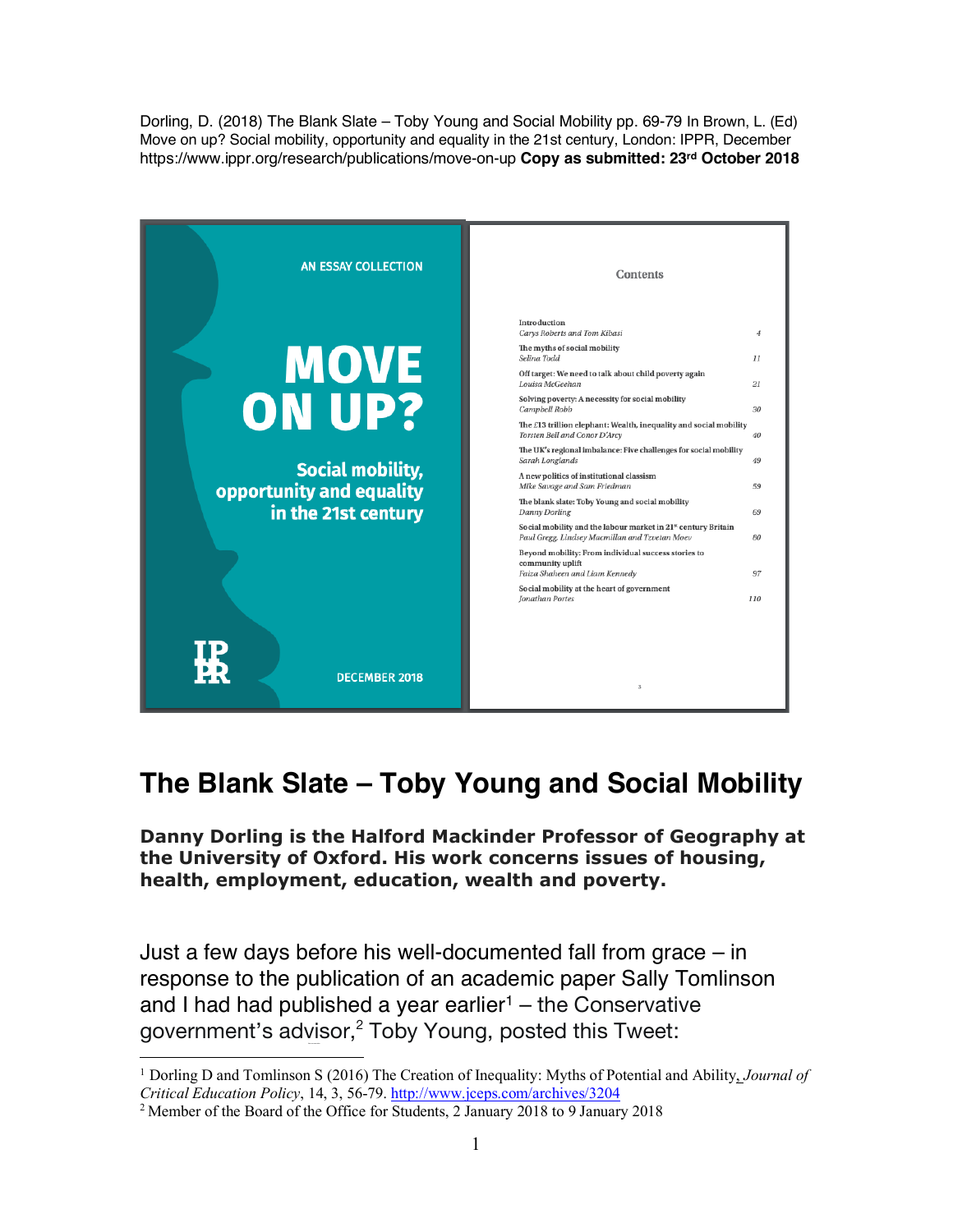Dorling, D. (2018) The Blank Slate – Toby Young and Social Mobility pp. 69-79 In Brown, L. (Ed) Move on up? Social mobility, opportunity and equality in the 21st century, London: IPPR, December https://www.ippr.org/research/publications/move-on-up **Copy as submitted: 23rd October 2018**



## **The Blank Slate – Toby Young and Social Mobility**

**Danny Dorling is the Halford Mackinder Professor of Geography at the University of Oxford. His work concerns issues of housing, health, employment, education, wealth and poverty.** 

Just a few days before his well-documented fall from grace – in response to the publication of an academic paper Sally Tomlinson and I had had published a year earlier<sup>1</sup> – the Conservative government's advisor,<sup>2</sup> Toby Young, posted this Tweet:

 <sup>1</sup> Dorling D and Tomlinson S (2016) The Creation of Inequality: Myths of Potential and Ability, *Journal of Critical Education Policy*, 14, 3, 56-79. http://www.jceps.com/archives/3204

<sup>2</sup> Member of the Board of the Office for Students, 2 January 2018 to 9 January 2018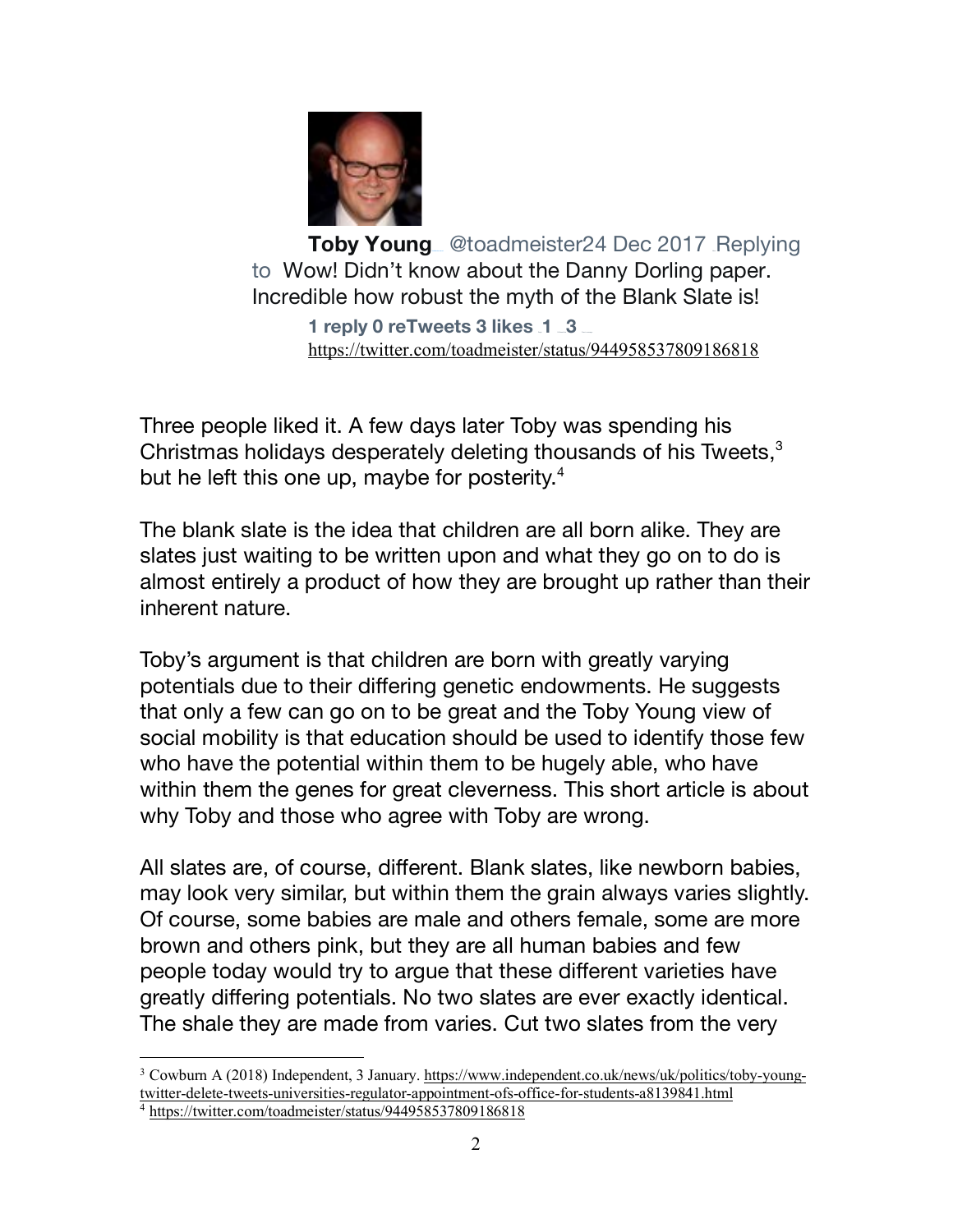

**Toby Young** @toadmeister24 Dec 2017 Replying to Wow! Didn't know about the Danny Dorling paper. Incredible how robust the myth of the Blank Slate is!

**1 reply 0 reTweets 3 likes 1 3** https://twitter.com/toadmeister/status/944958537809186818

Three people liked it. A few days later Toby was spending his Christmas holidays desperately deleting thousands of his Tweets,<sup>3</sup> but he left this one up, maybe for posterity.<sup>4</sup>

The blank slate is the idea that children are all born alike. They are slates just waiting to be written upon and what they go on to do is almost entirely a product of how they are brought up rather than their inherent nature.

Toby's argument is that children are born with greatly varying potentials due to their differing genetic endowments. He suggests that only a few can go on to be great and the Toby Young view of social mobility is that education should be used to identify those few who have the potential within them to be hugely able, who have within them the genes for great cleverness. This short article is about why Toby and those who agree with Toby are wrong.

All slates are, of course, different. Blank slates, like newborn babies, may look very similar, but within them the grain always varies slightly. Of course, some babies are male and others female, some are more brown and others pink, but they are all human babies and few people today would try to argue that these different varieties have greatly differing potentials. No two slates are ever exactly identical. The shale they are made from varies. Cut two slates from the very

<sup>&</sup>lt;sup>3</sup> Cowburn A (2018) Independent, 3 January. https://www.independent.co.uk/news/uk/politics/toby-youngtwitter-delete-tweets-universities-regulator-appointment-ofs-office-for-students-a8139841.html

<sup>4</sup> https://twitter.com/toadmeister/status/944958537809186818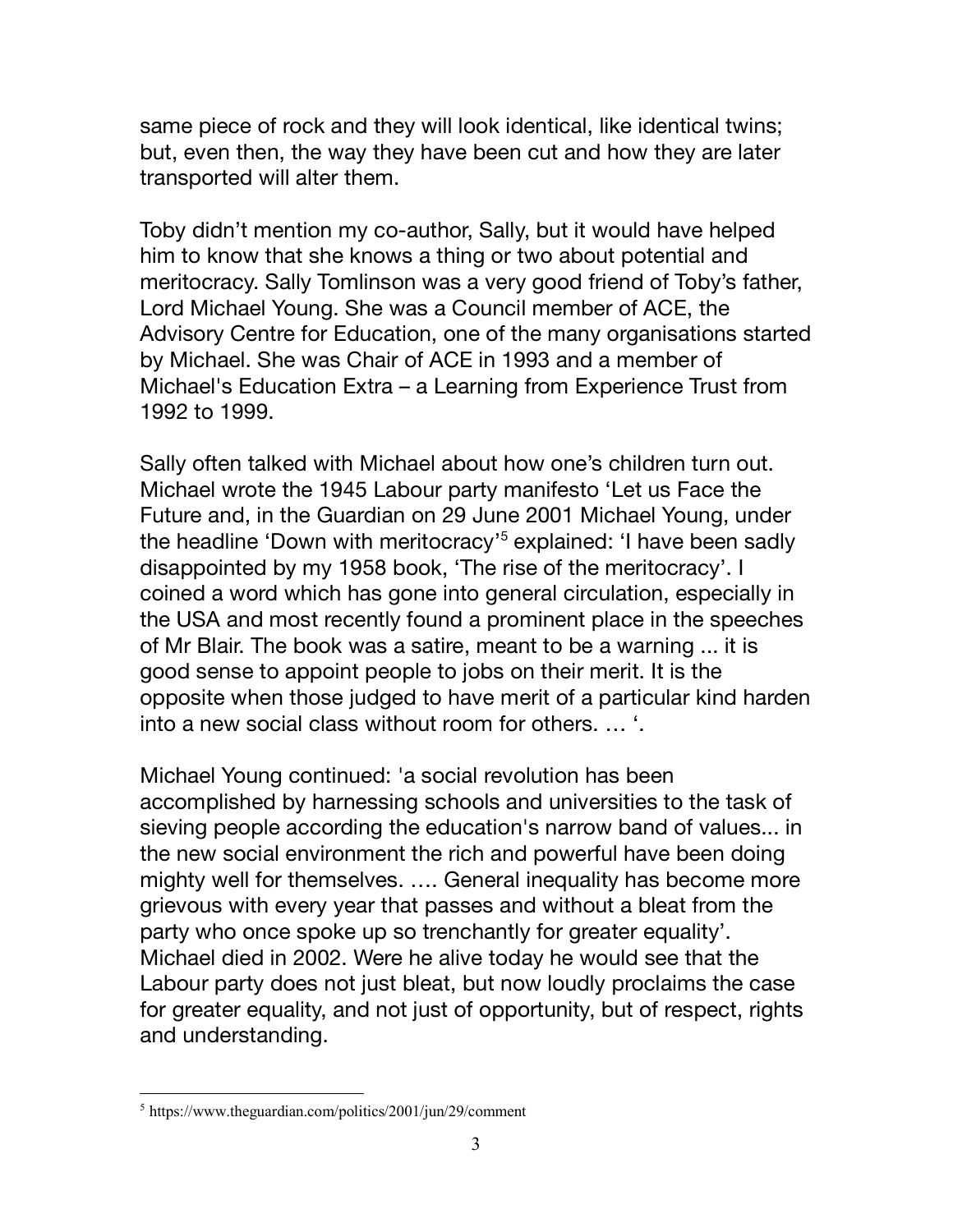same piece of rock and they will look identical, like identical twins; but, even then, the way they have been cut and how they are later transported will alter them.

Toby didn't mention my co-author, Sally, but it would have helped him to know that she knows a thing or two about potential and meritocracy. Sally Tomlinson was a very good friend of Toby's father, Lord Michael Young. She was a Council member of ACE, the Advisory Centre for Education, one of the many organisations started by Michael. She was Chair of ACE in 1993 and a member of Michael's Education Extra – a Learning from Experience Trust from 1992 to 1999.

Sally often talked with Michael about how one's children turn out. Michael wrote the 1945 Labour party manifesto 'Let us Face the Future and, in the Guardian on 29 June 2001 Michael Young, under the headline 'Down with meritocracy'<sup>5</sup> explained: 'I have been sadly disappointed by my 1958 book, 'The rise of the meritocracy'. I coined a word which has gone into general circulation, especially in the USA and most recently found a prominent place in the speeches of Mr Blair. The book was a satire, meant to be a warning ... it is good sense to appoint people to jobs on their merit. It is the opposite when those judged to have merit of a particular kind harden into a new social class without room for others. … '.

Michael Young continued: 'a social revolution has been accomplished by harnessing schools and universities to the task of sieving people according the education's narrow band of values... in the new social environment the rich and powerful have been doing mighty well for themselves. …. General inequality has become more grievous with every year that passes and without a bleat from the party who once spoke up so trenchantly for greater equality'. Michael died in 2002. Were he alive today he would see that the Labour party does not just bleat, but now loudly proclaims the case for greater equality, and not just of opportunity, but of respect, rights and understanding.

 <sup>5</sup> https://www.theguardian.com/politics/2001/jun/29/comment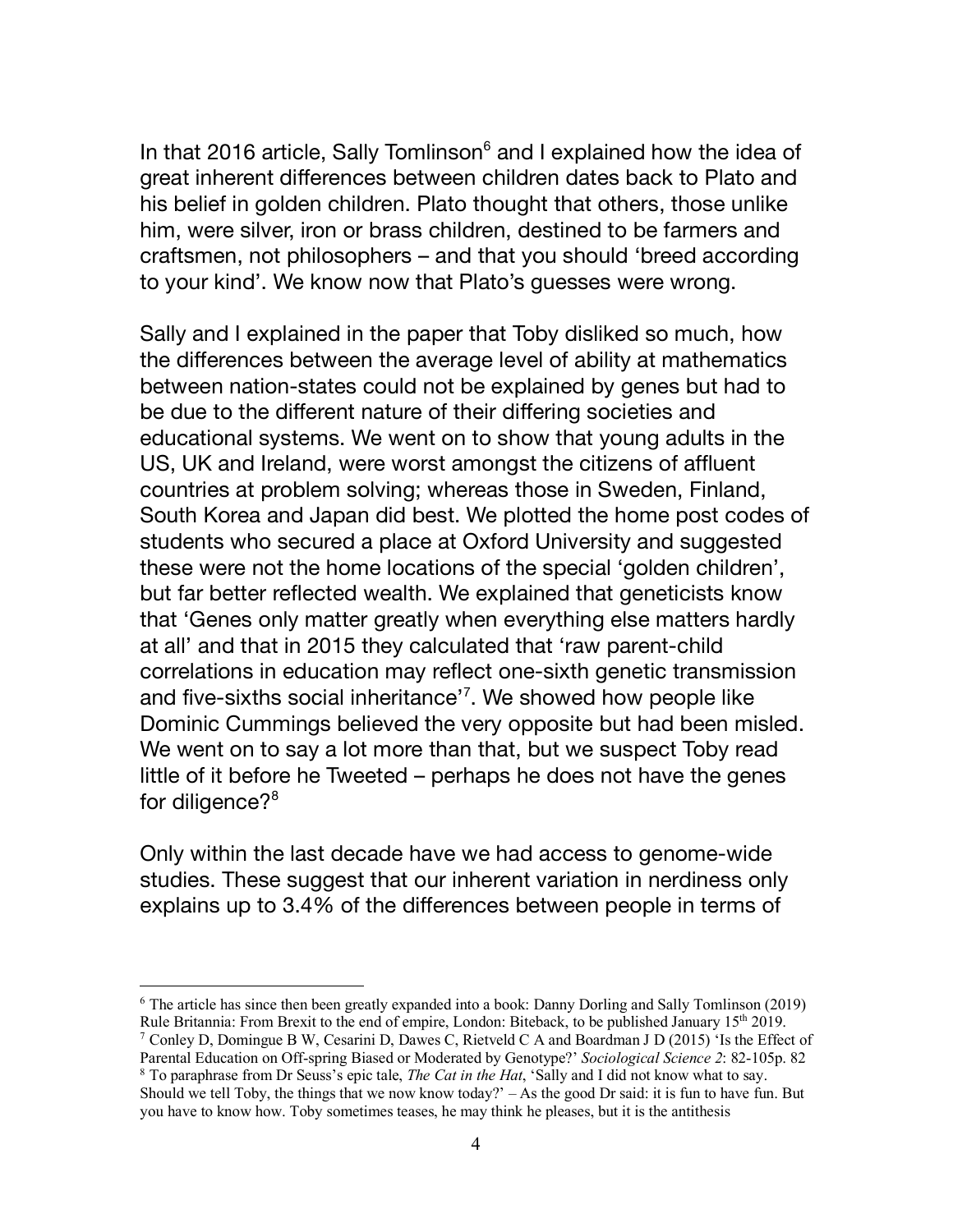In that 2016 article, Sally Tomlinson<sup>6</sup> and I explained how the idea of great inherent differences between children dates back to Plato and his belief in golden children. Plato thought that others, those unlike him, were silver, iron or brass children, destined to be farmers and craftsmen, not philosophers – and that you should 'breed according to your kind'. We know now that Plato's guesses were wrong.

Sally and I explained in the paper that Toby disliked so much, how the differences between the average level of ability at mathematics between nation-states could not be explained by genes but had to be due to the different nature of their differing societies and educational systems. We went on to show that young adults in the US, UK and Ireland, were worst amongst the citizens of affluent countries at problem solving; whereas those in Sweden, Finland, South Korea and Japan did best. We plotted the home post codes of students who secured a place at Oxford University and suggested these were not the home locations of the special 'golden children', but far better reflected wealth. We explained that geneticists know that 'Genes only matter greatly when everything else matters hardly at all' and that in 2015 they calculated that 'raw parent-child correlations in education may reflect one-sixth genetic transmission and five-sixths social inheritance' 7 . We showed how people like Dominic Cummings believed the very opposite but had been misled. We went on to say a lot more than that, but we suspect Toby read little of it before he Tweeted – perhaps he does not have the genes for diligence?<sup>8</sup>

Only within the last decade have we had access to genome-wide studies. These suggest that our inherent variation in nerdiness only explains up to 3.4% of the differences between people in terms of

 <sup>6</sup> The article has since then been greatly expanded into a book: Danny Dorling and Sally Tomlinson (2019) Rule Britannia: From Brexit to the end of empire, London: Biteback, to be published January 15th 2019.

<sup>7</sup> Conley D, Domingue B W, Cesarini D, Dawes C, Rietveld C A and Boardman J D (2015) 'Is the Effect of Parental Education on Off-spring Biased or Moderated by Genotype?' *Sociological Science 2*: 82-105p. 82

<sup>8</sup> To paraphrase from Dr Seuss's epic tale, *The Cat in the Hat*, 'Sally and I did not know what to say. Should we tell Toby, the things that we now know today?' – As the good Dr said: it is fun to have fun. But you have to know how. Toby sometimes teases, he may think he pleases, but it is the antithesis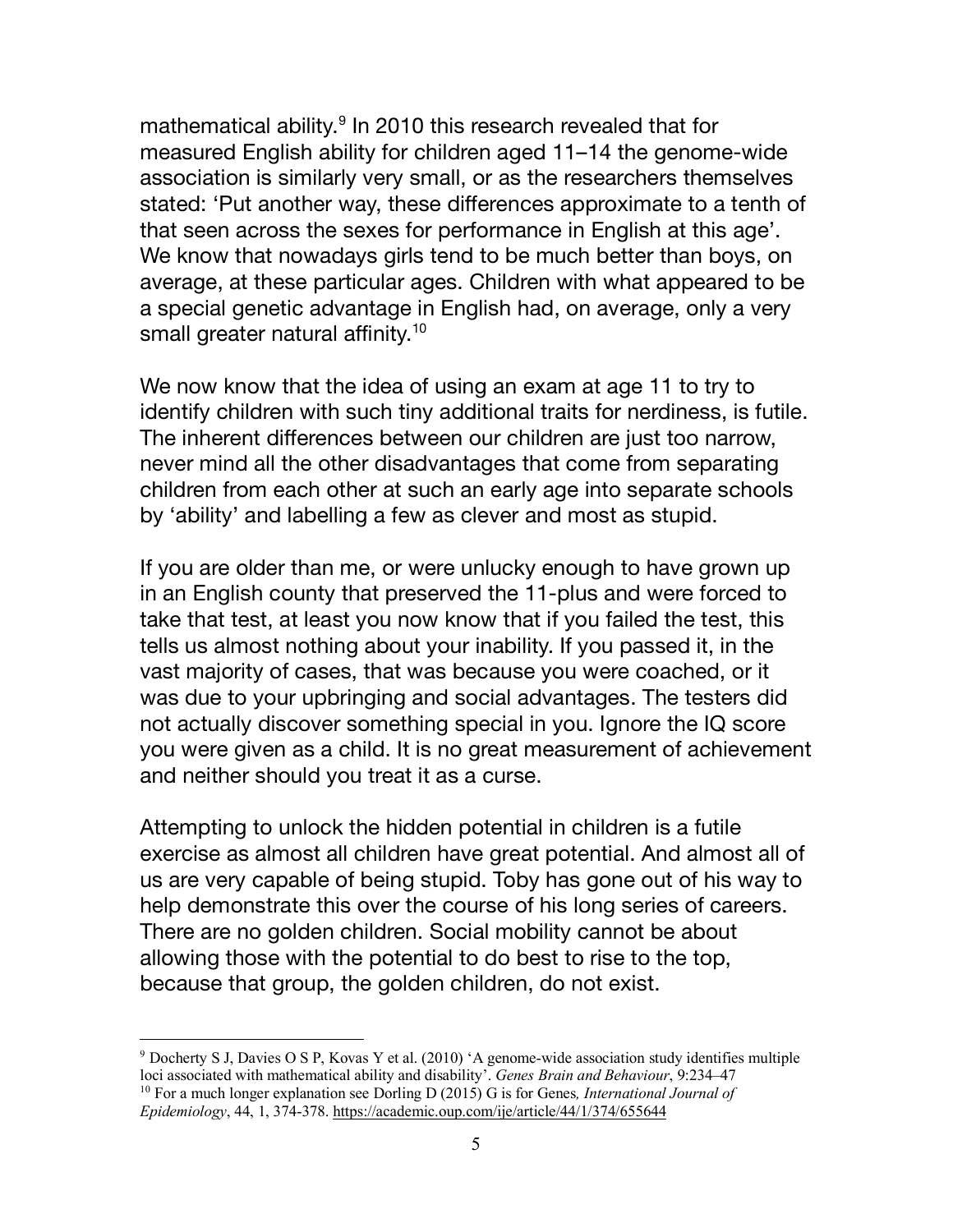mathematical ability.<sup>9</sup> In 2010 this research revealed that for measured English ability for children aged 11–14 the genome-wide association is similarly very small, or as the researchers themselves stated: 'Put another way, these differences approximate to a tenth of that seen across the sexes for performance in English at this age'. We know that nowadays girls tend to be much better than boys, on average, at these particular ages. Children with what appeared to be a special genetic advantage in English had, on average, only a very small greater natural affinity.<sup>10</sup>

We now know that the idea of using an exam at age 11 to try to identify children with such tiny additional traits for nerdiness, is futile. The inherent differences between our children are just too narrow, never mind all the other disadvantages that come from separating children from each other at such an early age into separate schools by 'ability' and labelling a few as clever and most as stupid.

If you are older than me, or were unlucky enough to have grown up in an English county that preserved the 11-plus and were forced to take that test, at least you now know that if you failed the test, this tells us almost nothing about your inability. If you passed it, in the vast majority of cases, that was because you were coached, or it was due to your upbringing and social advantages. The testers did not actually discover something special in you. Ignore the IQ score you were given as a child. It is no great measurement of achievement and neither should you treat it as a curse.

Attempting to unlock the hidden potential in children is a futile exercise as almost all children have great potential. And almost all of us are very capable of being stupid. Toby has gone out of his way to help demonstrate this over the course of his long series of careers. There are no golden children. Social mobility cannot be about allowing those with the potential to do best to rise to the top, because that group, the golden children, do not exist.

 <sup>9</sup> Docherty S J, Davies O <sup>S</sup> P, Kovas Y et al. (2010) 'A genome-wide association study identifies multiple loci associated with mathematical ability and disability'. *Genes Brain and Behaviour*, 9:234–47 <sup>10</sup> For a much longer explanation see Dorling D (2015) G is for Genes*, International Journal of Epidemiology*, 44, 1, 374-378. https://academic.oup.com/ije/article/44/1/374/655644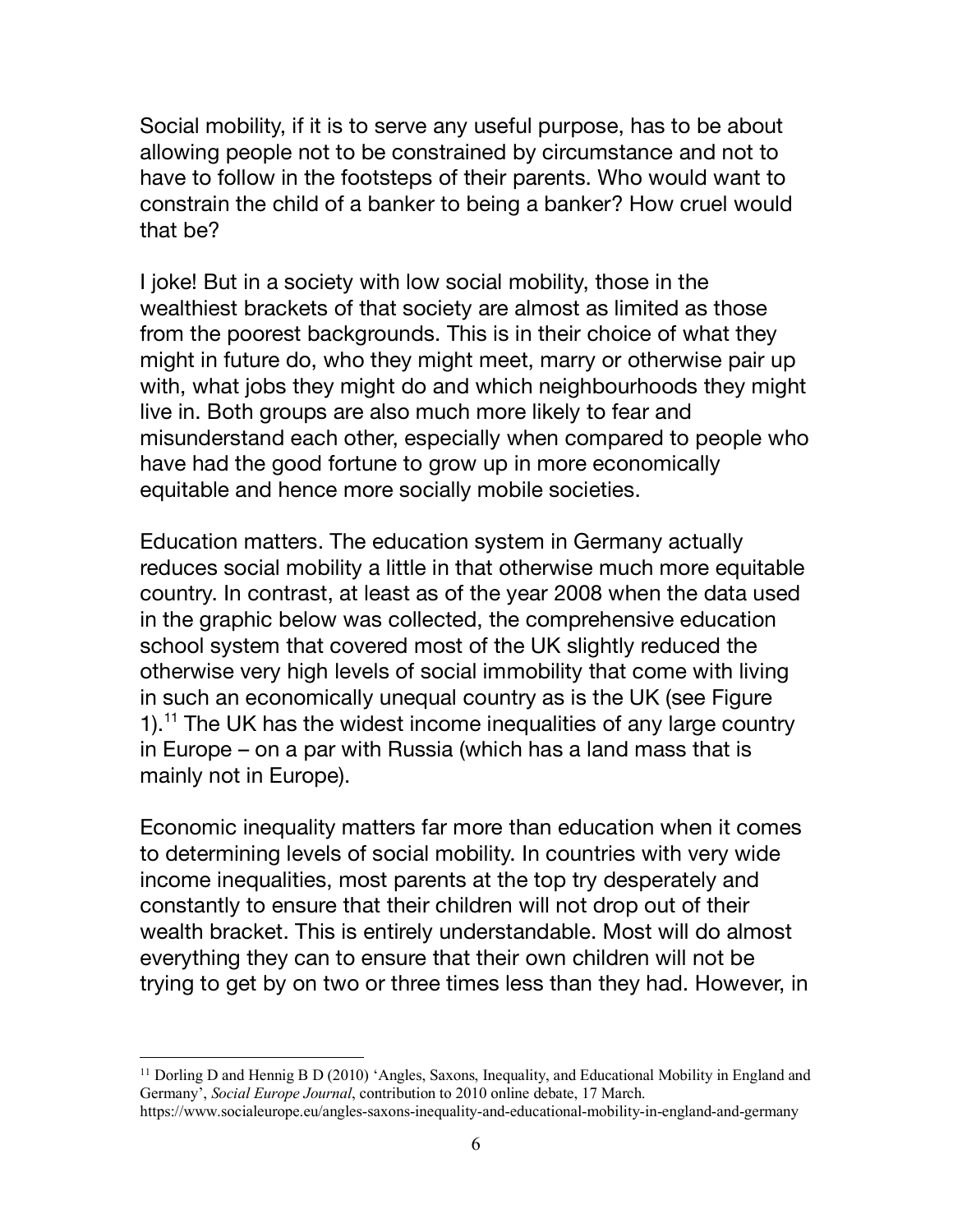Social mobility, if it is to serve any useful purpose, has to be about allowing people not to be constrained by circumstance and not to have to follow in the footsteps of their parents. Who would want to constrain the child of a banker to being a banker? How cruel would that be?

I joke! But in a society with low social mobility, those in the wealthiest brackets of that society are almost as limited as those from the poorest backgrounds. This is in their choice of what they might in future do, who they might meet, marry or otherwise pair up with, what jobs they might do and which neighbourhoods they might live in. Both groups are also much more likely to fear and misunderstand each other, especially when compared to people who have had the good fortune to grow up in more economically equitable and hence more socially mobile societies.

Education matters. The education system in Germany actually reduces social mobility a little in that otherwise much more equitable country. In contrast, at least as of the year 2008 when the data used in the graphic below was collected, the comprehensive education school system that covered most of the UK slightly reduced the otherwise very high levels of social immobility that come with living in such an economically unequal country as is the UK (see Figure 1).<sup>11</sup> The UK has the widest income inequalities of any large country in Europe – on a par with Russia (which has a land mass that is mainly not in Europe).

Economic inequality matters far more than education when it comes to determining levels of social mobility. In countries with very wide income inequalities, most parents at the top try desperately and constantly to ensure that their children will not drop out of their wealth bracket. This is entirely understandable. Most will do almost everything they can to ensure that their own children will not be trying to get by on two or three times less than they had. However, in

 $11$  Dorling D and Hennig B D (2010) 'Angles, Saxons, Inequality, and Educational Mobility in England and Germany', *Social Europe Journal*, contribution to 2010 online debate, 17 March.

https://www.socialeurope.eu/angles-saxons-inequality-and-educational-mobility-in-england-and-germany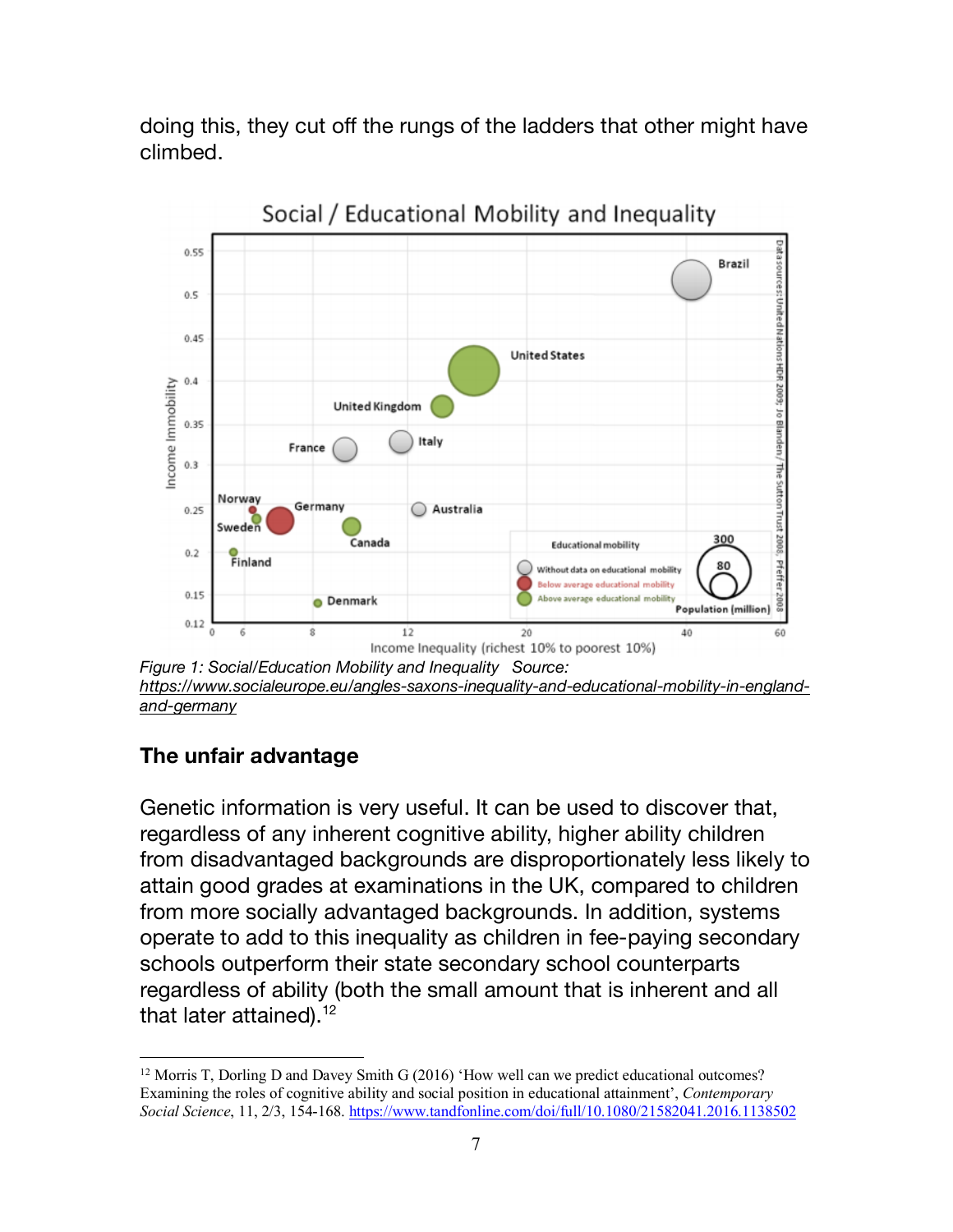doing this, they cut off the rungs of the ladders that other might have climbed.



*https://www.socialeurope.eu/angles-saxons-inequality-and-educational-mobility-in-englandand-germany*

## **The unfair advantage**

Genetic information is very useful. It can be used to discover that, regardless of any inherent cognitive ability, higher ability children from disadvantaged backgrounds are disproportionately less likely to attain good grades at examinations in the UK, compared to children from more socially advantaged backgrounds. In addition, systems operate to add to this inequality as children in fee-paying secondary schools outperform their state secondary school counterparts regardless of ability (both the small amount that is inherent and all that later attained).<sup>12</sup>

<sup>&</sup>lt;sup>12</sup> Morris T, Dorling D and Davey Smith G (2016) 'How well can we predict educational outcomes? Examining the roles of cognitive ability and social position in educational attainment', *Contemporary Social Science*, 11, 2/3, 154-168. https://www.tandfonline.com/doi/full/10.1080/21582041.2016.1138502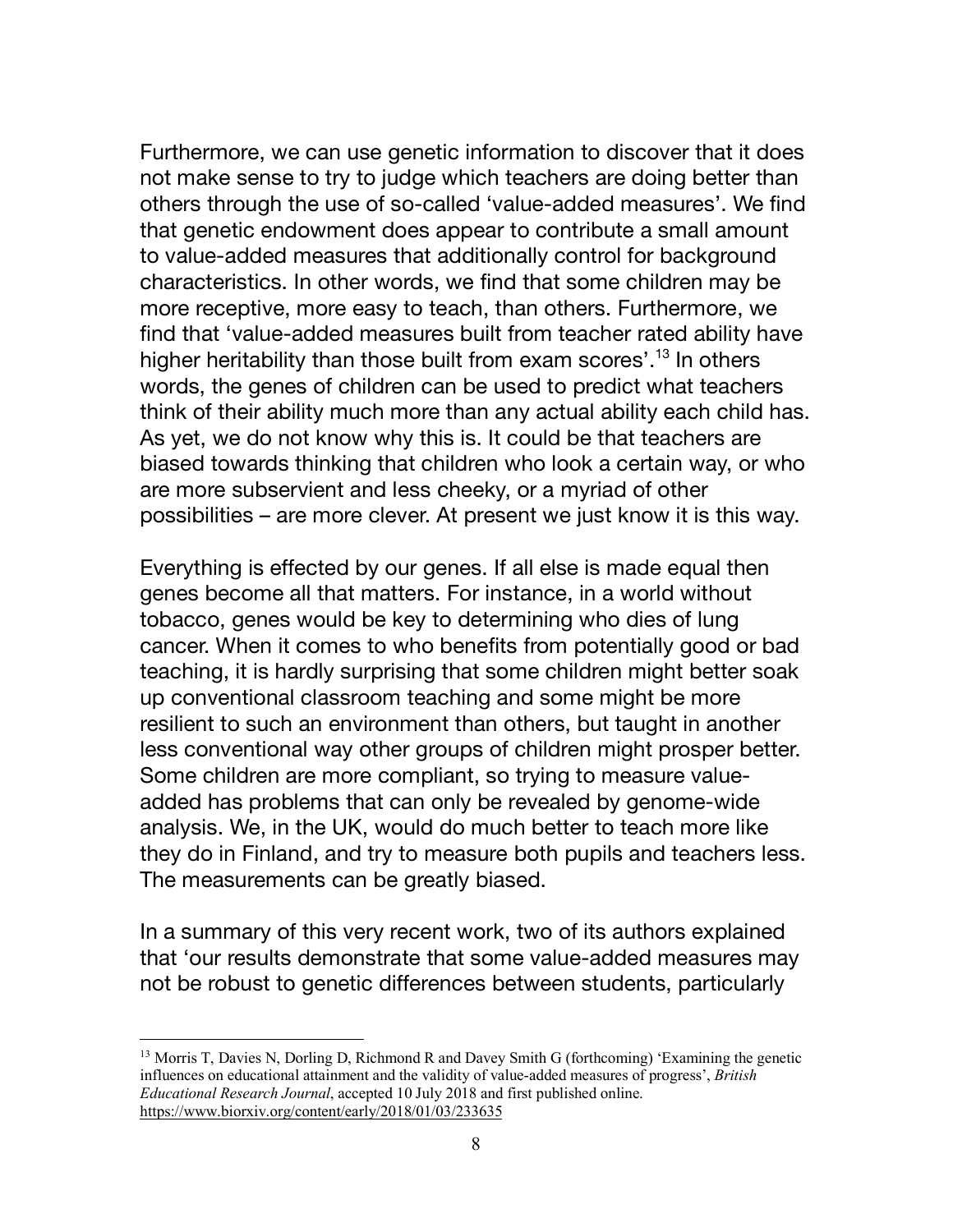Furthermore, we can use genetic information to discover that it does not make sense to try to judge which teachers are doing better than others through the use of so-called 'value-added measures'. We find that genetic endowment does appear to contribute a small amount to value-added measures that additionally control for background characteristics. In other words, we find that some children may be more receptive, more easy to teach, than others. Furthermore, we find that 'value-added measures built from teacher rated ability have higher heritability than those built from exam scores'.<sup>13</sup> In others words, the genes of children can be used to predict what teachers think of their ability much more than any actual ability each child has. As yet, we do not know why this is. It could be that teachers are biased towards thinking that children who look a certain way, or who are more subservient and less cheeky, or a myriad of other possibilities – are more clever. At present we just know it is this way.

Everything is effected by our genes. If all else is made equal then genes become all that matters. For instance, in a world without tobacco, genes would be key to determining who dies of lung cancer. When it comes to who benefits from potentially good or bad teaching, it is hardly surprising that some children might better soak up conventional classroom teaching and some might be more resilient to such an environment than others, but taught in another less conventional way other groups of children might prosper better. Some children are more compliant, so trying to measure valueadded has problems that can only be revealed by genome-wide analysis. We, in the UK, would do much better to teach more like they do in Finland, and try to measure both pupils and teachers less. The measurements can be greatly biased.

In a summary of this very recent work, two of its authors explained that 'our results demonstrate that some value-added measures may not be robust to genetic differences between students, particularly

 $<sup>13</sup>$  Morris T, Davies N, Dorling D, Richmond R and Davey Smith G (forthcoming) 'Examining the genetic</sup> influences on educational attainment and the validity of value-added measures of progress', *British Educational Research Journal*, accepted 10 July 2018 and first published online. https://www.biorxiv.org/content/early/2018/01/03/233635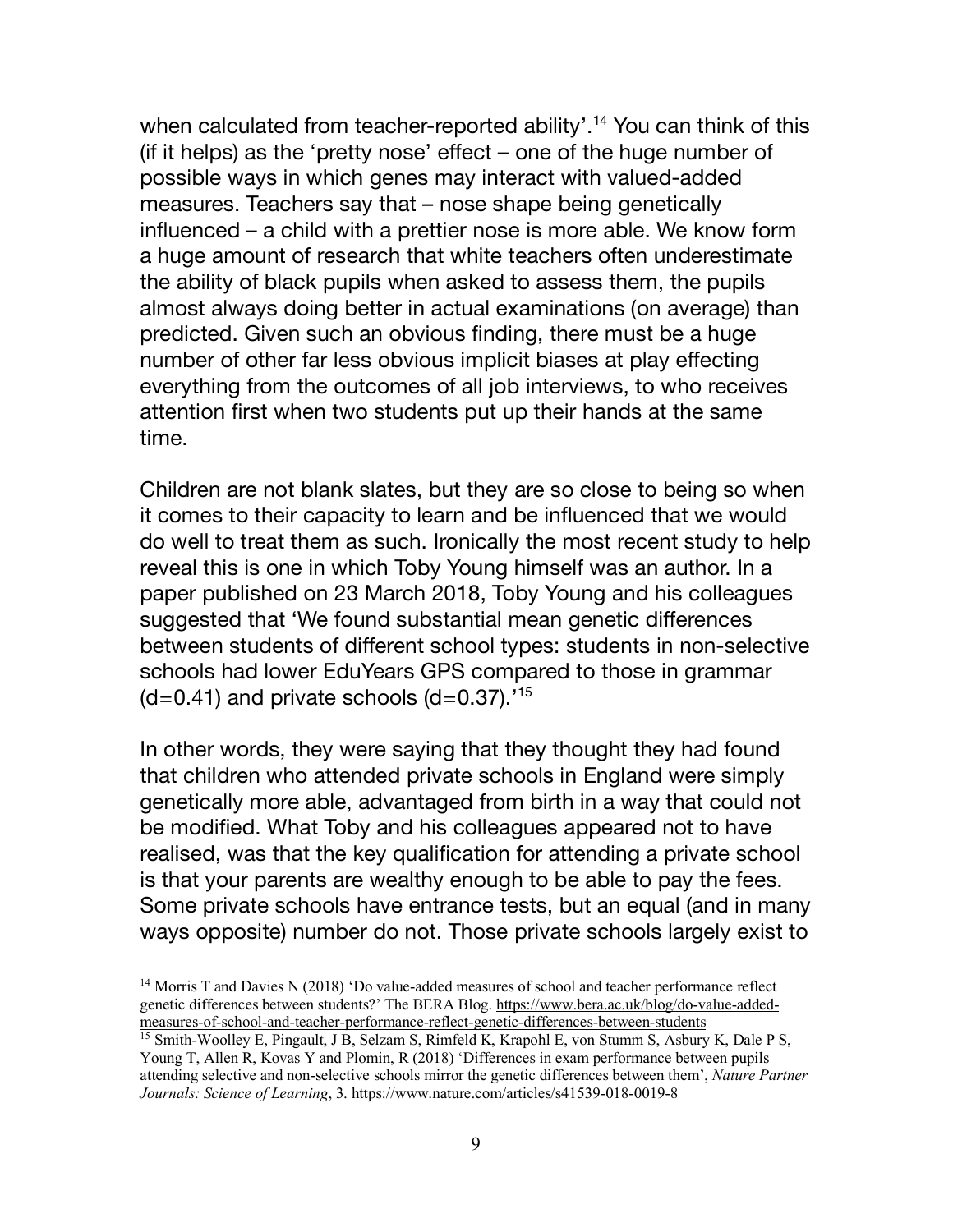when calculated from teacher-reported ability'.<sup>14</sup> You can think of this (if it helps) as the 'pretty nose' effect – one of the huge number of possible ways in which genes may interact with valued-added measures. Teachers say that – nose shape being genetically influenced – a child with a prettier nose is more able. We know form a huge amount of research that white teachers often underestimate the ability of black pupils when asked to assess them, the pupils almost always doing better in actual examinations (on average) than predicted. Given such an obvious finding, there must be a huge number of other far less obvious implicit biases at play effecting everything from the outcomes of all job interviews, to who receives attention first when two students put up their hands at the same time.

Children are not blank slates, but they are so close to being so when it comes to their capacity to learn and be influenced that we would do well to treat them as such. Ironically the most recent study to help reveal this is one in which Toby Young himself was an author. In a paper published on 23 March 2018, Toby Young and his colleagues suggested that 'We found substantial mean genetic differences between students of different school types: students in non-selective schools had lower EduYears GPS compared to those in grammar  $(d=0.41)$  and private schools  $(d=0.37)$ .<sup>15</sup>

In other words, they were saying that they thought they had found that children who attended private schools in England were simply genetically more able, advantaged from birth in a way that could not be modified. What Toby and his colleagues appeared not to have realised, was that the key qualification for attending a private school is that your parents are wealthy enough to be able to pay the fees. Some private schools have entrance tests, but an equal (and in many ways opposite) number do not. Those private schools largely exist to

<sup>&</sup>lt;sup>14</sup> Morris T and Davies N (2018) 'Do value-added measures of school and teacher performance reflect genetic differences between students?' The BERA Blog. https://www.bera.ac.uk/blog/do-value-addedmeasures-of-school-and-teacher-performance-reflect-genetic-differences-between-students

<sup>15</sup> Smith-Woolley E, Pingault, J B, Selzam S, Rimfeld K, Krapohl E, von Stumm S, Asbury K, Dale P S, Young T, Allen R, Kovas Y and Plomin, R (2018) 'Differences in exam performance between pupils attending selective and non-selective schools mirror the genetic differences between them', *Nature Partner Journals: Science of Learning*, 3. https://www.nature.com/articles/s41539-018-0019-8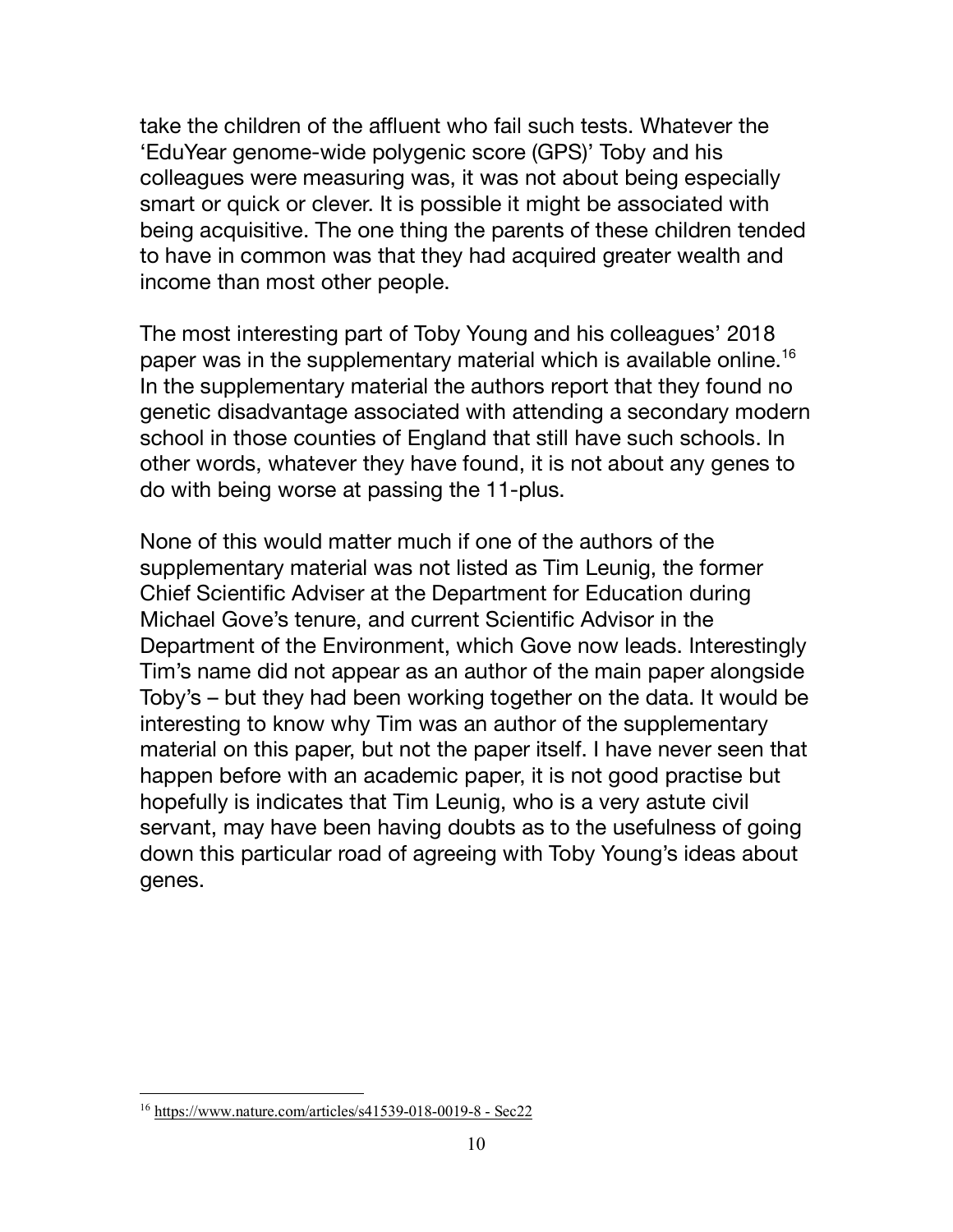take the children of the affluent who fail such tests. Whatever the 'EduYear genome-wide polygenic score (GPS)' Toby and his colleagues were measuring was, it was not about being especially smart or quick or clever. It is possible it might be associated with being acquisitive. The one thing the parents of these children tended to have in common was that they had acquired greater wealth and income than most other people.

The most interesting part of Toby Young and his colleagues' 2018 paper was in the supplementary material which is available online.<sup>16</sup> In the supplementary material the authors report that they found no genetic disadvantage associated with attending a secondary modern school in those counties of England that still have such schools. In other words, whatever they have found, it is not about any genes to do with being worse at passing the 11-plus.

None of this would matter much if one of the authors of the supplementary material was not listed as Tim Leunig, the former Chief Scientific Adviser at the Department for Education during Michael Gove's tenure, and current Scientific Advisor in the Department of the Environment, which Gove now leads. Interestingly Tim's name did not appear as an author of the main paper alongside Toby's – but they had been working together on the data. It would be interesting to know why Tim was an author of the supplementary material on this paper, but not the paper itself. I have never seen that happen before with an academic paper, it is not good practise but hopefully is indicates that Tim Leunig, who is a very astute civil servant, may have been having doubts as to the usefulness of going down this particular road of agreeing with Toby Young's ideas about genes.

 <sup>16</sup> https://www.nature.com/articles/s41539-018-0019-8 - Sec22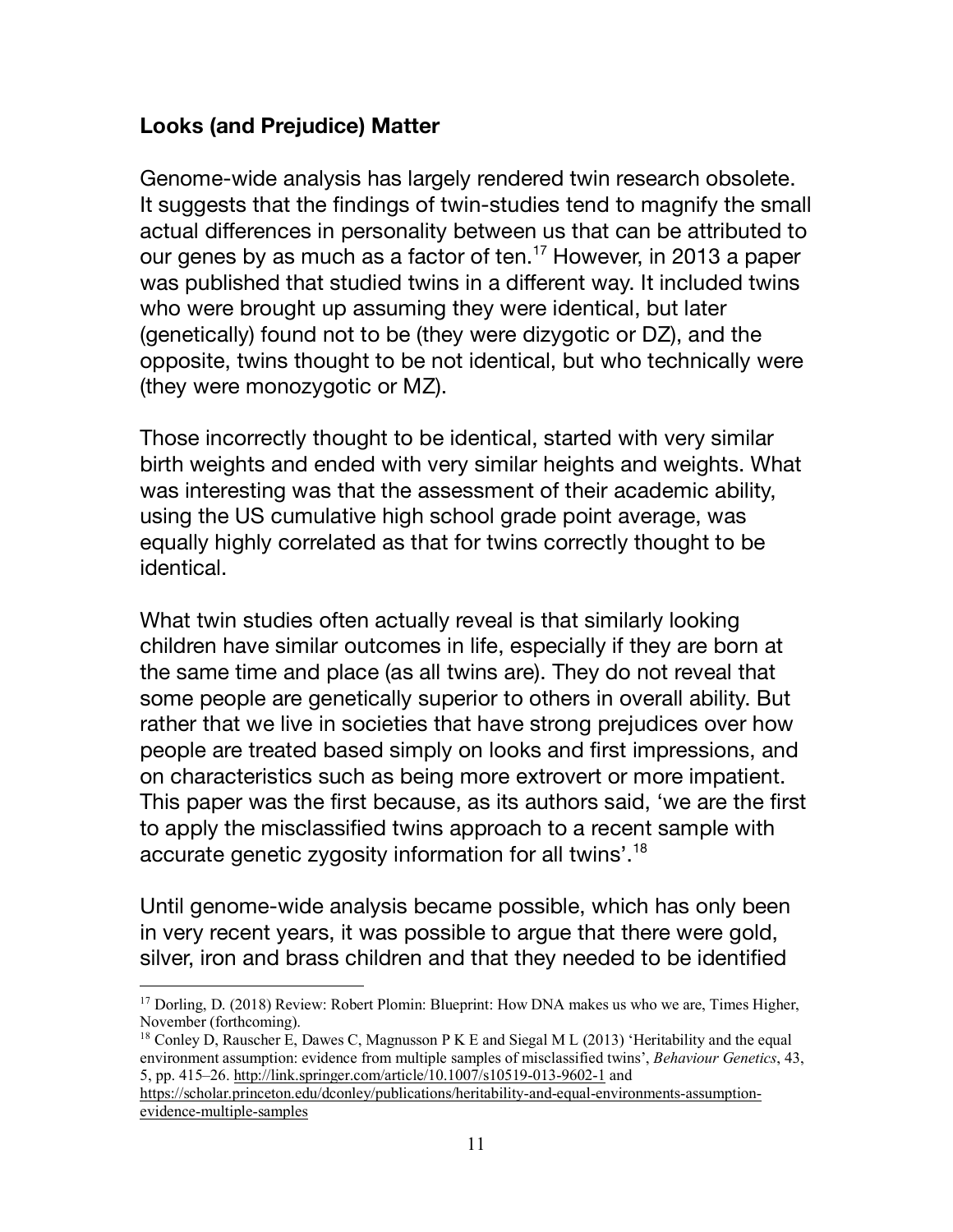## **Looks (and Prejudice) Matter**

Genome-wide analysis has largely rendered twin research obsolete. It suggests that the findings of twin-studies tend to magnify the small actual differences in personality between us that can be attributed to our genes by as much as a factor of ten.<sup>17</sup> However, in 2013 a paper was published that studied twins in a different way. It included twins who were brought up assuming they were identical, but later (genetically) found not to be (they were dizygotic or DZ), and the opposite, twins thought to be not identical, but who technically were (they were monozygotic or MZ).

Those incorrectly thought to be identical, started with very similar birth weights and ended with very similar heights and weights. What was interesting was that the assessment of their academic ability, using the US cumulative high school grade point average, was equally highly correlated as that for twins correctly thought to be identical.

What twin studies often actually reveal is that similarly looking children have similar outcomes in life, especially if they are born at the same time and place (as all twins are). They do not reveal that some people are genetically superior to others in overall ability. But rather that we live in societies that have strong prejudices over how people are treated based simply on looks and first impressions, and on characteristics such as being more extrovert or more impatient. This paper was the first because, as its authors said, 'we are the first to apply the misclassified twins approach to a recent sample with accurate genetic zygosity information for all twins'.18

Until genome-wide analysis became possible, which has only been in very recent years, it was possible to argue that there were gold, silver, iron and brass children and that they needed to be identified

```
https://scholar.princeton.edu/dconley/publications/heritability-and-equal-environments-assumption-
evidence-multiple-samples
```
<sup>&</sup>lt;sup>17</sup> Dorling, D. (2018) Review: Robert Plomin: Blueprint: How DNA makes us who we are, Times Higher, November (forthcoming).

<sup>&</sup>lt;sup>18</sup> Conley D, Rauscher E, Dawes C, Magnusson P K E and Siegal M L (2013) 'Heritability and the equal environment assumption: evidence from multiple samples of misclassified twins', *Behaviour Genetics*, 43, 5, pp. 415–26. http://link.springer.com/article/10.1007/s10519-013-9602-1 and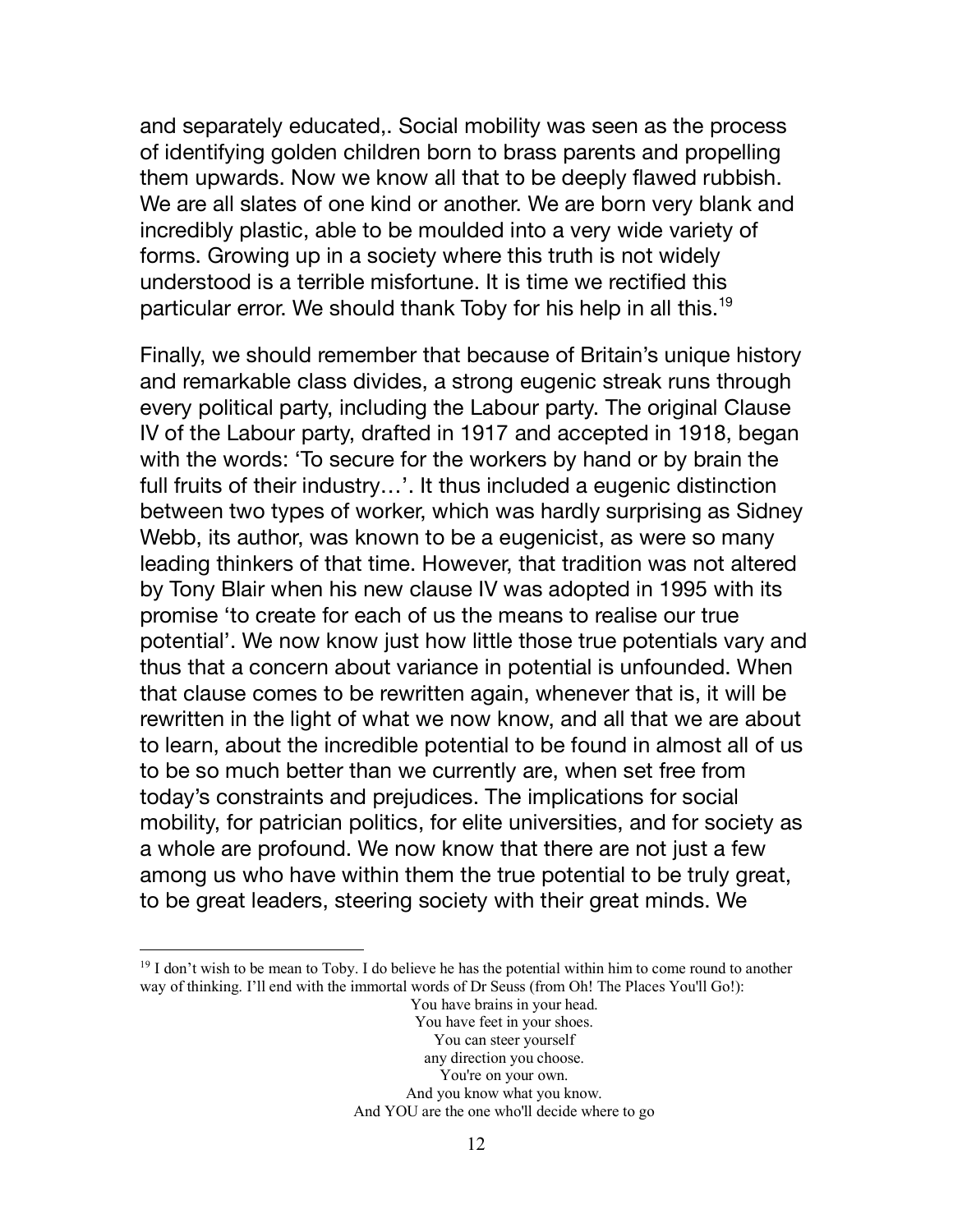and separately educated,. Social mobility was seen as the process of identifying golden children born to brass parents and propelling them upwards. Now we know all that to be deeply flawed rubbish. We are all slates of one kind or another. We are born very blank and incredibly plastic, able to be moulded into a very wide variety of forms. Growing up in a society where this truth is not widely understood is a terrible misfortune. It is time we rectified this particular error. We should thank Toby for his help in all this.<sup>19</sup>

Finally, we should remember that because of Britain's unique history and remarkable class divides, a strong eugenic streak runs through every political party, including the Labour party. The original Clause IV of the Labour party, drafted in 1917 and accepted in 1918, began with the words: 'To secure for the workers by hand or by brain the full fruits of their industry…'. It thus included a eugenic distinction between two types of worker, which was hardly surprising as Sidney Webb, its author, was known to be a eugenicist, as were so many leading thinkers of that time. However, that tradition was not altered by Tony Blair when his new clause IV was adopted in 1995 with its promise 'to create for each of us the means to realise our true potential'. We now know just how little those true potentials vary and thus that a concern about variance in potential is unfounded. When that clause comes to be rewritten again, whenever that is, it will be rewritten in the light of what we now know, and all that we are about to learn, about the incredible potential to be found in almost all of us to be so much better than we currently are, when set free from today's constraints and prejudices. The implications for social mobility, for patrician politics, for elite universities, and for society as a whole are profound. We now know that there are not just a few among us who have within them the true potential to be truly great, to be great leaders, steering society with their great minds. We

 $19$  I don't wish to be mean to Toby. I do believe he has the potential within him to come round to another way of thinking. I'll end with the immortal words of Dr Seuss (from Oh! The Places You'll Go!):

You have brains in your head. You have feet in your shoes. You can steer yourself any direction you choose. You're on your own. And you know what you know. And YOU are the one who'll decide where to go